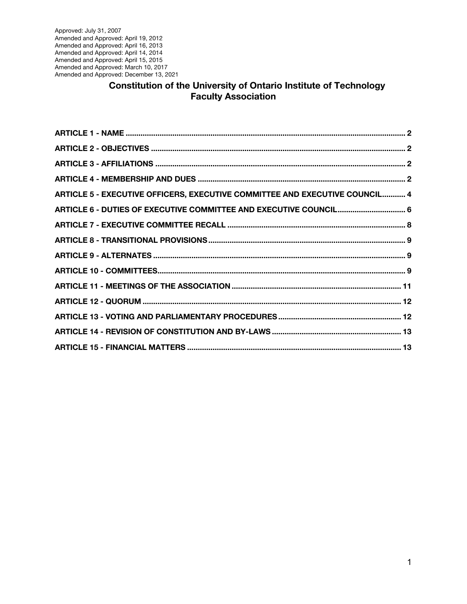Approved: July 31, 2007 Amended and Approved: April 19, 2012 Amended and Approved: April 16, 2013 Amended and Approved: April 14, 2014 Amended and Approved: April 15, 2015 Amended and Approved: March 10, 2017 Amended and Approved: December 13, 2021

### **Constitution of the University of Ontario Institute of Technology Faculty Association**

| ARTICLE 5 - EXECUTIVE OFFICERS, EXECUTIVE COMMITTEE AND EXECUTIVE COUNCIL 4 |  |
|-----------------------------------------------------------------------------|--|
| ARTICLE 6 - DUTIES OF EXECUTIVE COMMITTEE AND EXECUTIVE COUNCIL 6           |  |
|                                                                             |  |
|                                                                             |  |
|                                                                             |  |
|                                                                             |  |
|                                                                             |  |
|                                                                             |  |
|                                                                             |  |
|                                                                             |  |
|                                                                             |  |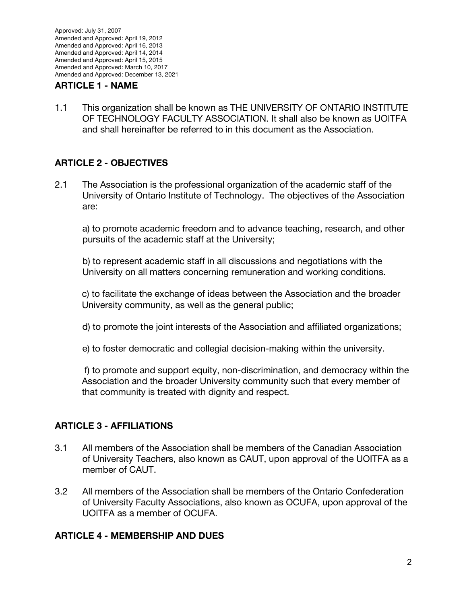#### **ARTICLE 1 - NAME**

1.1 This organization shall be known as THE UNIVERSITY OF ONTARIO INSTITUTE OF TECHNOLOGY FACULTY ASSOCIATION. It shall also be known as UOITFA and shall hereinafter be referred to in this document as the Association.

### **ARTICLE 2 - OBJECTIVES**

2.1 The Association is the professional organization of the academic staff of the University of Ontario Institute of Technology. The objectives of the Association are:

a) to promote academic freedom and to advance teaching, research, and other pursuits of the academic staff at the University;

b) to represent academic staff in all discussions and negotiations with the University on all matters concerning remuneration and working conditions.

c) to facilitate the exchange of ideas between the Association and the broader University community, as well as the general public;

- d) to promote the joint interests of the Association and affiliated organizations;
- e) to foster democratic and collegial decision-making within the university.

f) to promote and support equity, non-discrimination, and democracy within the Association and the broader University community such that every member of that community is treated with dignity and respect.

### **ARTICLE 3 - AFFILIATIONS**

- 3.1 All members of the Association shall be members of the Canadian Association of University Teachers, also known as CAUT, upon approval of the UOITFA as a member of CAUT.
- 3.2 All members of the Association shall be members of the Ontario Confederation of University Faculty Associations, also known as OCUFA, upon approval of the UOITFA as a member of OCUFA.

#### **ARTICLE 4 - MEMBERSHIP AND DUES**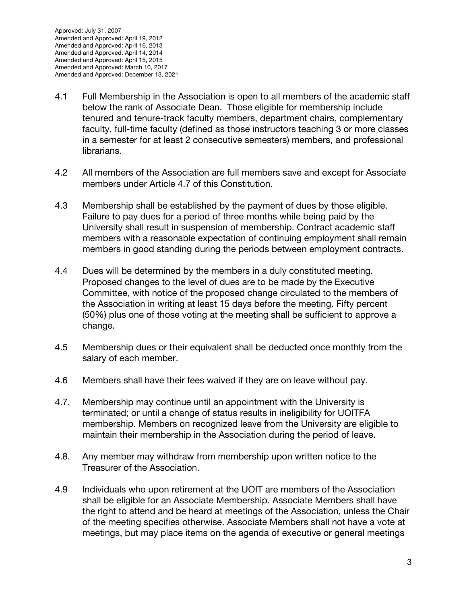- 4.1 Full Membership in the Association is open to all members of the academic staff below the rank of Associate Dean. Those eligible for membership include tenured and tenure-track faculty members, department chairs, complementary faculty, full-time faculty (defined as those instructors teaching 3 or more classes in a semester for at least 2 consecutive semesters) members, and professional librarians.
- 4.2 All members of the Association are full members save and except for Associate members under Article 4.7 of this Constitution.
- 4.3 Membership shall be established by the payment of dues by those eligible. Failure to pay dues for a period of three months while being paid by the University shall result in suspension of membership. Contract academic staff members with a reasonable expectation of continuing employment shall remain members in good standing during the periods between employment contracts.
- 4.4 Dues will be determined by the members in a duly constituted meeting. Proposed changes to the level of dues are to be made by the Executive Committee, with notice of the proposed change circulated to the members of the Association in writing at least 15 days before the meeting. Fifty percent (50%) plus one of those voting at the meeting shall be sufficient to approve a change.
- 4.5 Membership dues or their equivalent shall be deducted once monthly from the salary of each member.
- 4.6 Members shall have their fees waived if they are on leave without pay.
- 4.7. Membership may continue until an appointment with the University is terminated; or until a change of status results in ineligibility for UOITFA membership. Members on recognized leave from the University are eligible to maintain their membership in the Association during the period of leave.
- 4.8. Any member may withdraw from membership upon written notice to the Treasurer of the Association.
- 4.9 Individuals who upon retirement at the UOIT are members of the Association shall be eligible for an Associate Membership. Associate Members shall have the right to attend and be heard at meetings of the Association, unless the Chair of the meeting specifies otherwise. Associate Members shall not have a vote at meetings, but may place items on the agenda of executive or general meetings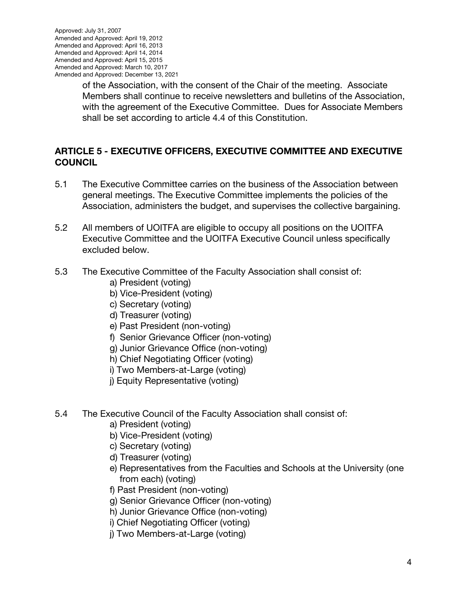of the Association, with the consent of the Chair of the meeting. Associate Members shall continue to receive newsletters and bulletins of the Association, with the agreement of the Executive Committee. Dues for Associate Members shall be set according to article 4.4 of this Constitution.

## **ARTICLE 5 - EXECUTIVE OFFICERS, EXECUTIVE COMMITTEE AND EXECUTIVE COUNCIL**

- 5.1 The Executive Committee carries on the business of the Association between general meetings. The Executive Committee implements the policies of the Association, administers the budget, and supervises the collective bargaining.
- 5.2 All members of UOITFA are eligible to occupy all positions on the UOITFA Executive Committee and the UOITFA Executive Council unless specifically excluded below.
- 5.3 The Executive Committee of the Faculty Association shall consist of:
	- a) President (voting)
	- b) Vice-President (voting)
	- c) Secretary (voting)
	- d) Treasurer (voting)
	- e) Past President (non-voting)
	- f) Senior Grievance Officer (non-voting)
	- g) Junior Grievance Office (non-voting)
	- h) Chief Negotiating Officer (voting)
	- i) Two Members-at-Large (voting)
	- j) Equity Representative (voting)
- 5.4 The Executive Council of the Faculty Association shall consist of:
	- a) President (voting)
	- b) Vice-President (voting)
	- c) Secretary (voting)
	- d) Treasurer (voting)
	- e) Representatives from the Faculties and Schools at the University (one from each) (voting)
	- f) Past President (non-voting)
	- g) Senior Grievance Officer (non-voting)
	- h) Junior Grievance Office (non-voting)
	- i) Chief Negotiating Officer (voting)
	- j) Two Members-at-Large (voting)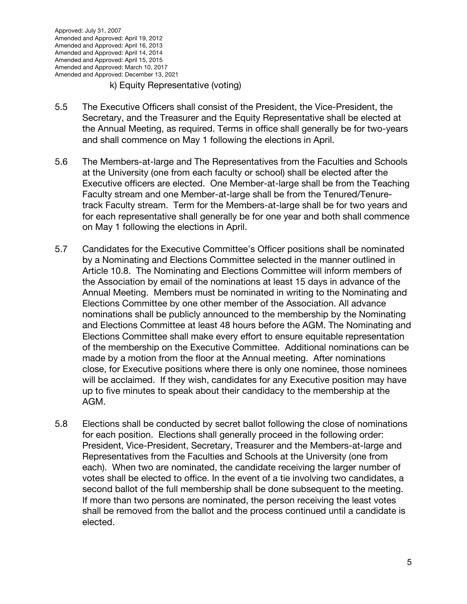#### k) Equity Representative (voting)

- 5.5 The Executive Officers shall consist of the President, the Vice-President, the Secretary, and the Treasurer and the Equity Representative shall be elected at the Annual Meeting, as required. Terms in office shall generally be for two-years and shall commence on May 1 following the elections in April.
- 5.6 The Members-at-large and The Representatives from the Faculties and Schools at the University (one from each faculty or school) shall be elected after the Executive officers are elected. One Member-at-large shall be from the Teaching Faculty stream and one Member-at-large shall be from the Tenured/Tenuretrack Faculty stream. Term for the Members-at-large shall be for two years and for each representative shall generally be for one year and both shall commence on May 1 following the elections in April.
- 5.7 Candidates for the Executive Committee's Officer positions shall be nominated by a Nominating and Elections Committee selected in the manner outlined in Article 10.8. The Nominating and Elections Committee will inform members of the Association by email of the nominations at least 15 days in advance of the Annual Meeting. Members must be nominated in writing to the Nominating and Elections Committee by one other member of the Association. All advance nominations shall be publicly announced to the membership by the Nominating and Elections Committee at least 48 hours before the AGM. The Nominating and Elections Committee shall make every effort to ensure equitable representation of the membership on the Executive Committee. Additional nominations can be made by a motion from the floor at the Annual meeting. After nominations close, for Executive positions where there is only one nominee, those nominees will be acclaimed. If they wish, candidates for any Executive position may have up to five minutes to speak about their candidacy to the membership at the AGM.
- 5.8 Elections shall be conducted by secret ballot following the close of nominations for each position. Elections shall generally proceed in the following order: President, Vice-President, Secretary, Treasurer and the Members-at-large and Representatives from the Faculties and Schools at the University (one from each). When two are nominated, the candidate receiving the larger number of votes shall be elected to office. In the event of a tie involving two candidates, a second ballot of the full membership shall be done subsequent to the meeting. If more than two persons are nominated, the person receiving the least votes shall be removed from the ballot and the process continued until a candidate is elected.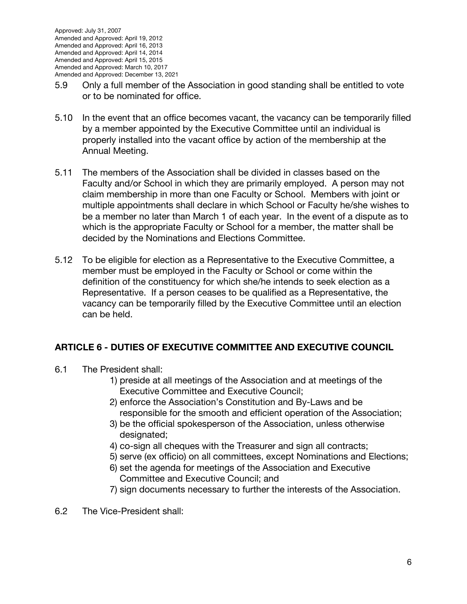- 5.9 Only a full member of the Association in good standing shall be entitled to vote or to be nominated for office.
- 5.10 In the event that an office becomes vacant, the vacancy can be temporarily filled by a member appointed by the Executive Committee until an individual is properly installed into the vacant office by action of the membership at the Annual Meeting.
- 5.11 The members of the Association shall be divided in classes based on the Faculty and/or School in which they are primarily employed. A person may not claim membership in more than one Faculty or School. Members with joint or multiple appointments shall declare in which School or Faculty he/she wishes to be a member no later than March 1 of each year. In the event of a dispute as to which is the appropriate Faculty or School for a member, the matter shall be decided by the Nominations and Elections Committee.
- 5.12 To be eligible for election as a Representative to the Executive Committee, a member must be employed in the Faculty or School or come within the definition of the constituency for which she/he intends to seek election as a Representative. If a person ceases to be qualified as a Representative, the vacancy can be temporarily filled by the Executive Committee until an election can be held.

# **ARTICLE 6 - DUTIES OF EXECUTIVE COMMITTEE AND EXECUTIVE COUNCIL**

- 6.1 The President shall:
	- 1) preside at all meetings of the Association and at meetings of the Executive Committee and Executive Council;
	- 2) enforce the Association's Constitution and By-Laws and be responsible for the smooth and efficient operation of the Association;
	- 3) be the official spokesperson of the Association, unless otherwise designated;
	- 4) co-sign all cheques with the Treasurer and sign all contracts;
	- 5) serve (ex officio) on all committees, except Nominations and Elections;
	- 6) set the agenda for meetings of the Association and Executive Committee and Executive Council; and
	- 7) sign documents necessary to further the interests of the Association.
- 6.2 The Vice-President shall: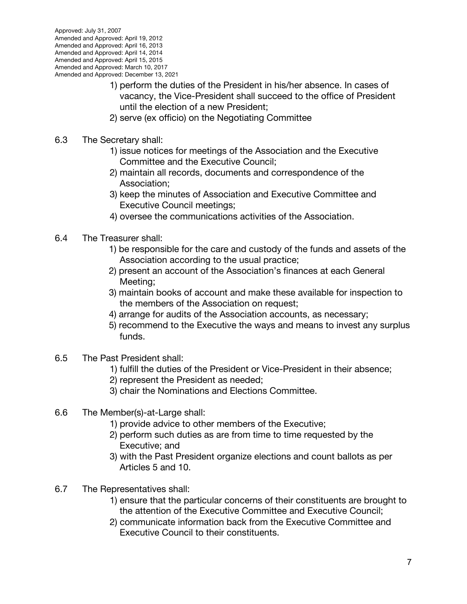- 1) perform the duties of the President in his/her absence. In cases of vacancy, the Vice-President shall succeed to the office of President until the election of a new President;
- 2) serve (ex officio) on the Negotiating Committee
- 6.3 The Secretary shall:
	- 1) issue notices for meetings of the Association and the Executive Committee and the Executive Council;
		- 2) maintain all records, documents and correspondence of the Association;
		- 3) keep the minutes of Association and Executive Committee and Executive Council meetings;
		- 4) oversee the communications activities of the Association.
- 6.4 The Treasurer shall:
	- 1) be responsible for the care and custody of the funds and assets of the Association according to the usual practice;
	- 2) present an account of the Association's finances at each General Meeting;
	- 3) maintain books of account and make these available for inspection to the members of the Association on request;
	- 4) arrange for audits of the Association accounts, as necessary;
	- 5) recommend to the Executive the ways and means to invest any surplus funds.
- 6.5 The Past President shall:
	- 1) fulfill the duties of the President or Vice-President in their absence;
	- 2) represent the President as needed;
	- 3) chair the Nominations and Elections Committee.
- 6.6 The Member(s)-at-Large shall:
	- 1) provide advice to other members of the Executive;
	- 2) perform such duties as are from time to time requested by the Executive; and
	- 3) with the Past President organize elections and count ballots as per Articles 5 and 10.
- 6.7 The Representatives shall:
	- 1) ensure that the particular concerns of their constituents are brought to the attention of the Executive Committee and Executive Council;
	- 2) communicate information back from the Executive Committee and Executive Council to their constituents.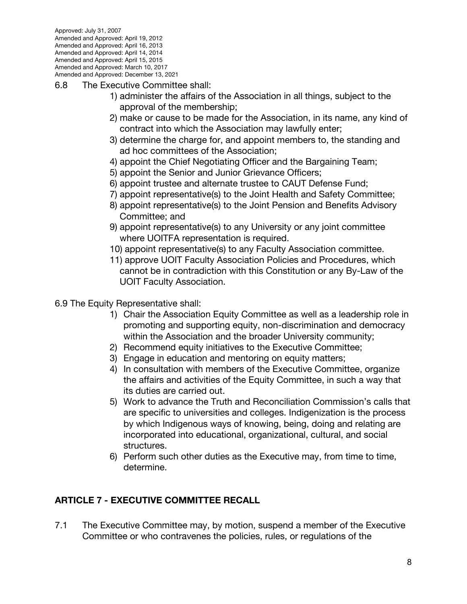- 6.8 The Executive Committee shall:
	- 1) administer the affairs of the Association in all things, subject to the approval of the membership;
	- 2) make or cause to be made for the Association, in its name, any kind of contract into which the Association may lawfully enter;
	- 3) determine the charge for, and appoint members to, the standing and ad hoc committees of the Association;
	- 4) appoint the Chief Negotiating Officer and the Bargaining Team;
	- 5) appoint the Senior and Junior Grievance Officers;
	- 6) appoint trustee and alternate trustee to CAUT Defense Fund;
	- 7) appoint representative(s) to the Joint Health and Safety Committee;
	- 8) appoint representative(s) to the Joint Pension and Benefits Advisory Committee; and
	- 9) appoint representative(s) to any University or any joint committee where UOITFA representation is required.
	- 10) appoint representative(s) to any Faculty Association committee.
	- 11) approve UOIT Faculty Association Policies and Procedures, which cannot be in contradiction with this Constitution or any By-Law of the UOIT Faculty Association.
- 6.9 The Equity Representative shall:
	- 1) Chair the Association Equity Committee as well as a leadership role in promoting and supporting equity, non-discrimination and democracy within the Association and the broader University community;
	- 2) Recommend equity initiatives to the Executive Committee;
	- 3) Engage in education and mentoring on equity matters;
	- 4) In consultation with members of the Executive Committee, organize the affairs and activities of the Equity Committee, in such a way that its duties are carried out.
	- 5) Work to advance the Truth and Reconciliation Commission's calls that are specific to universities and colleges. Indigenization is the process by which Indigenous ways of knowing, being, doing and relating are incorporated into educational, organizational, cultural, and social structures.
	- 6) Perform such other duties as the Executive may, from time to time, determine.

# **ARTICLE 7 - EXECUTIVE COMMITTEE RECALL**

7.1 The Executive Committee may, by motion, suspend a member of the Executive Committee or who contravenes the policies, rules, or regulations of the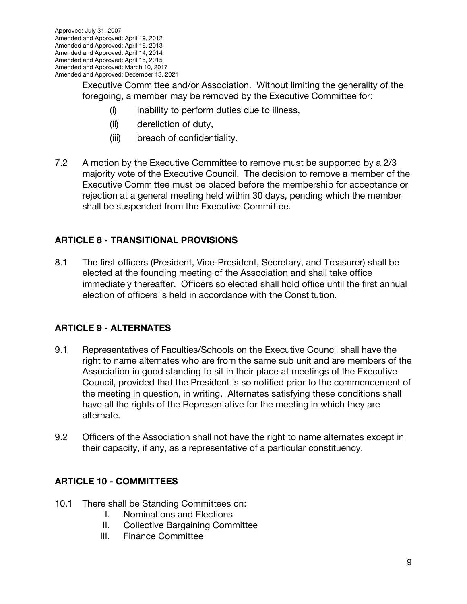Executive Committee and/or Association. Without limiting the generality of the foregoing, a member may be removed by the Executive Committee for:

- (i) inability to perform duties due to illness,
- (ii) dereliction of duty,
- (iii) breach of confidentiality.
- 7.2 A motion by the Executive Committee to remove must be supported by a 2/3 majority vote of the Executive Council. The decision to remove a member of the Executive Committee must be placed before the membership for acceptance or rejection at a general meeting held within 30 days, pending which the member shall be suspended from the Executive Committee.

### **ARTICLE 8 - TRANSITIONAL PROVISIONS**

8.1 The first officers (President, Vice-President, Secretary, and Treasurer) shall be elected at the founding meeting of the Association and shall take office immediately thereafter. Officers so elected shall hold office until the first annual election of officers is held in accordance with the Constitution.

### **ARTICLE 9 - ALTERNATES**

- 9.1 Representatives of Faculties/Schools on the Executive Council shall have the right to name alternates who are from the same sub unit and are members of the Association in good standing to sit in their place at meetings of the Executive Council, provided that the President is so notified prior to the commencement of the meeting in question, in writing. Alternates satisfying these conditions shall have all the rights of the Representative for the meeting in which they are alternate.
- 9.2 Officers of the Association shall not have the right to name alternates except in their capacity, if any, as a representative of a particular constituency.

### **ARTICLE 10 - COMMITTEES**

- 10.1 There shall be Standing Committees on:
	- I. Nominations and Elections
	- II. Collective Bargaining Committee
	- III. Finance Committee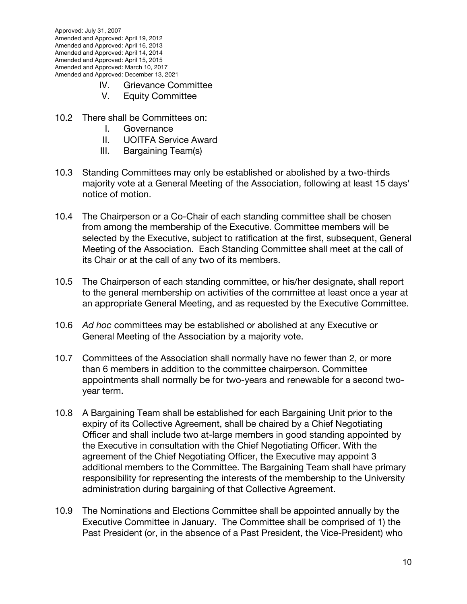Approved: July 31, 2007 Amended and Approved: April 19, 2012 Amended and Approved: April 16, 2013 Amended and Approved: April 14, 2014 Amended and Approved: April 15, 2015 Amended and Approved: March 10, 2017 Amended and Approved: December 13, 2021

- IV. Grievance Committee
- V. Equity Committee
- 10.2 There shall be Committees on:
	- I. Governance
	- II. UOITFA Service Award
	- III. Bargaining Team(s)
- 10.3 Standing Committees may only be established or abolished by a two-thirds majority vote at a General Meeting of the Association, following at least 15 days' notice of motion.
- 10.4 The Chairperson or a Co-Chair of each standing committee shall be chosen from among the membership of the Executive. Committee members will be selected by the Executive, subject to ratification at the first, subsequent, General Meeting of the Association. Each Standing Committee shall meet at the call of its Chair or at the call of any two of its members.
- 10.5 The Chairperson of each standing committee, or his/her designate, shall report to the general membership on activities of the committee at least once a year at an appropriate General Meeting, and as requested by the Executive Committee.
- 10.6 *Ad hoc* committees may be established or abolished at any Executive or General Meeting of the Association by a majority vote.
- 10.7 Committees of the Association shall normally have no fewer than 2, or more than 6 members in addition to the committee chairperson. Committee appointments shall normally be for two-years and renewable for a second twoyear term.
- 10.8 A Bargaining Team shall be established for each Bargaining Unit prior to the expiry of its Collective Agreement, shall be chaired by a Chief Negotiating Officer and shall include two at-large members in good standing appointed by the Executive in consultation with the Chief Negotiating Officer. With the agreement of the Chief Negotiating Officer, the Executive may appoint 3 additional members to the Committee. The Bargaining Team shall have primary responsibility for representing the interests of the membership to the University administration during bargaining of that Collective Agreement.
- 10.9 The Nominations and Elections Committee shall be appointed annually by the Executive Committee in January. The Committee shall be comprised of 1) the Past President (or, in the absence of a Past President, the Vice-President) who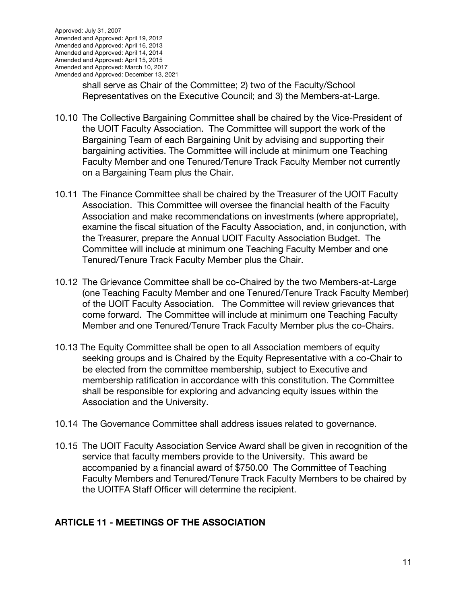shall serve as Chair of the Committee; 2) two of the Faculty/School Representatives on the Executive Council; and 3) the Members-at-Large.

- 10.10 The Collective Bargaining Committee shall be chaired by the Vice-President of the UOIT Faculty Association. The Committee will support the work of the Bargaining Team of each Bargaining Unit by advising and supporting their bargaining activities. The Committee will include at minimum one Teaching Faculty Member and one Tenured/Tenure Track Faculty Member not currently on a Bargaining Team plus the Chair.
- 10.11 The Finance Committee shall be chaired by the Treasurer of the UOIT Faculty Association. This Committee will oversee the financial health of the Faculty Association and make recommendations on investments (where appropriate), examine the fiscal situation of the Faculty Association, and, in conjunction, with the Treasurer, prepare the Annual UOIT Faculty Association Budget. The Committee will include at minimum one Teaching Faculty Member and one Tenured/Tenure Track Faculty Member plus the Chair.
- 10.12 The Grievance Committee shall be co-Chaired by the two Members-at-Large (one Teaching Faculty Member and one Tenured/Tenure Track Faculty Member) of the UOIT Faculty Association. The Committee will review grievances that come forward. The Committee will include at minimum one Teaching Faculty Member and one Tenured/Tenure Track Faculty Member plus the co-Chairs.
- 10.13 The Equity Committee shall be open to all Association members of equity seeking groups and is Chaired by the Equity Representative with a co-Chair to be elected from the committee membership, subject to Executive and membership ratification in accordance with this constitution. The Committee shall be responsible for exploring and advancing equity issues within the Association and the University.
- 10.14 The Governance Committee shall address issues related to governance.
- 10.15 The UOIT Faculty Association Service Award shall be given in recognition of the service that faculty members provide to the University. This award be accompanied by a financial award of \$750.00 The Committee of Teaching Faculty Members and Tenured/Tenure Track Faculty Members to be chaired by the UOITFA Staff Officer will determine the recipient.

### **ARTICLE 11 - MEETINGS OF THE ASSOCIATION**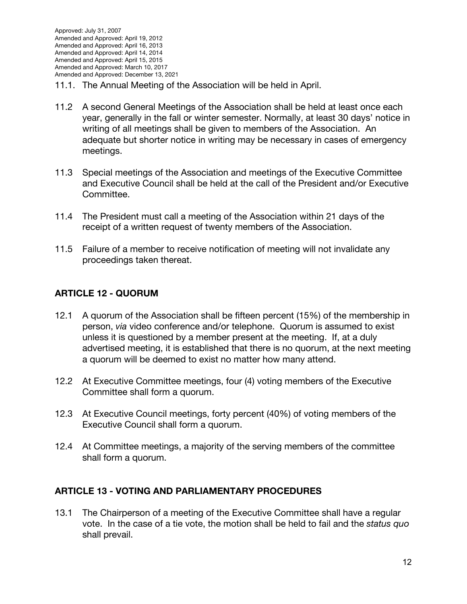- 11.1. The Annual Meeting of the Association will be held in April.
- 11.2 A second General Meetings of the Association shall be held at least once each year, generally in the fall or winter semester. Normally, at least 30 days' notice in writing of all meetings shall be given to members of the Association. An adequate but shorter notice in writing may be necessary in cases of emergency meetings.
- 11.3 Special meetings of the Association and meetings of the Executive Committee and Executive Council shall be held at the call of the President and/or Executive Committee.
- 11.4 The President must call a meeting of the Association within 21 days of the receipt of a written request of twenty members of the Association.
- 11.5 Failure of a member to receive notification of meeting will not invalidate any proceedings taken thereat.

### **ARTICLE 12 - QUORUM**

- 12.1 A quorum of the Association shall be fifteen percent (15%) of the membership in person, *via* video conference and/or telephone. Quorum is assumed to exist unless it is questioned by a member present at the meeting. If, at a duly advertised meeting, it is established that there is no quorum, at the next meeting a quorum will be deemed to exist no matter how many attend.
- 12.2 At Executive Committee meetings, four (4) voting members of the Executive Committee shall form a quorum.
- 12.3 At Executive Council meetings, forty percent (40%) of voting members of the Executive Council shall form a quorum.
- 12.4 At Committee meetings, a majority of the serving members of the committee shall form a quorum.

#### **ARTICLE 13 - VOTING AND PARLIAMENTARY PROCEDURES**

13.1 The Chairperson of a meeting of the Executive Committee shall have a regular vote. In the case of a tie vote, the motion shall be held to fail and the *status quo*  shall prevail.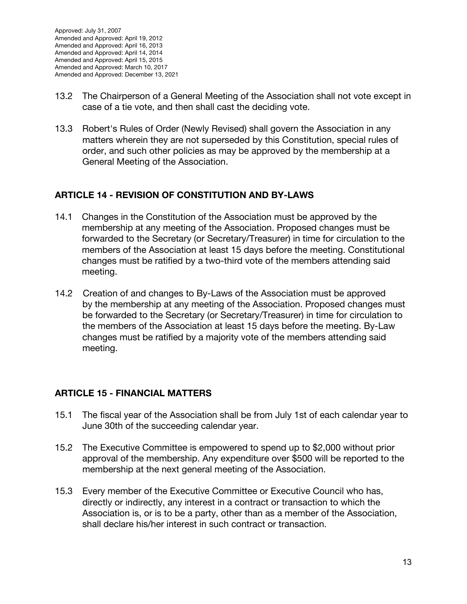- 13.2 The Chairperson of a General Meeting of the Association shall not vote except in case of a tie vote, and then shall cast the deciding vote.
- 13.3 Robert's Rules of Order (Newly Revised) shall govern the Association in any matters wherein they are not superseded by this Constitution, special rules of order, and such other policies as may be approved by the membership at a General Meeting of the Association.

## **ARTICLE 14 - REVISION OF CONSTITUTION AND BY-LAWS**

- 14.1 Changes in the Constitution of the Association must be approved by the membership at any meeting of the Association. Proposed changes must be forwarded to the Secretary (or Secretary/Treasurer) in time for circulation to the members of the Association at least 15 days before the meeting. Constitutional changes must be ratified by a two-third vote of the members attending said meeting.
- 14.2 Creation of and changes to By-Laws of the Association must be approved by the membership at any meeting of the Association. Proposed changes must be forwarded to the Secretary (or Secretary/Treasurer) in time for circulation to the members of the Association at least 15 days before the meeting. By-Law changes must be ratified by a majority vote of the members attending said meeting.

# **ARTICLE 15 - FINANCIAL MATTERS**

- 15.1 The fiscal year of the Association shall be from July 1st of each calendar year to June 30th of the succeeding calendar year.
- 15.2 The Executive Committee is empowered to spend up to \$2,000 without prior approval of the membership. Any expenditure over \$500 will be reported to the membership at the next general meeting of the Association.
- 15.3 Every member of the Executive Committee or Executive Council who has, directly or indirectly, any interest in a contract or transaction to which the Association is, or is to be a party, other than as a member of the Association, shall declare his/her interest in such contract or transaction.